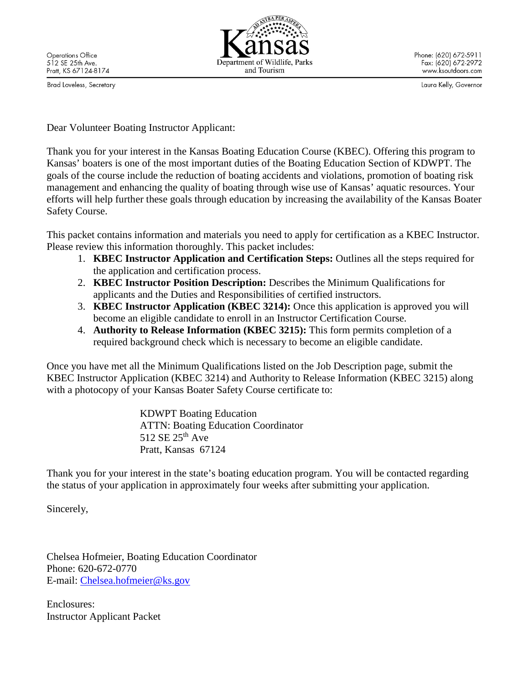Brad Loveless, Secretary



Phone: (620) 672-5911 Fax: (620) 672-2972 www.ksoutdoors.com

Laura Kelly, Governor

Dear Volunteer Boating Instructor Applicant:

Thank you for your interest in the Kansas Boating Education Course (KBEC). Offering this program to Kansas' boaters is one of the most important duties of the Boating Education Section of KDWPT. The goals of the course include the reduction of boating accidents and violations, promotion of boating risk management and enhancing the quality of boating through wise use of Kansas' aquatic resources. Your efforts will help further these goals through education by increasing the availability of the Kansas Boater Safety Course.

This packet contains information and materials you need to apply for certification as a KBEC Instructor. Please review this information thoroughly. This packet includes:

- 1. **KBEC Instructor Application and Certification Steps:** Outlines all the steps required for the application and certification process.
- 2. **KBEC Instructor Position Description:** Describes the Minimum Qualifications for applicants and the Duties and Responsibilities of certified instructors.
- 3. **KBEC Instructor Application (KBEC 3214):** Once this application is approved you will become an eligible candidate to enroll in an Instructor Certification Course.
- 4. **Authority to Release Information (KBEC 3215):** This form permits completion of a required background check which is necessary to become an eligible candidate.

Once you have met all the Minimum Qualifications listed on the Job Description page, submit the KBEC Instructor Application (KBEC 3214) and Authority to Release Information (KBEC 3215) along with a photocopy of your Kansas Boater Safety Course certificate to:

> KDWPT Boating Education ATTN: Boating Education Coordinator 512 SE  $25<sup>th</sup>$  Ave Pratt, Kansas 67124

Thank you for your interest in the state's boating education program. You will be contacted regarding the status of your application in approximately four weeks after submitting your application.

Sincerely,

Chelsea Hofmeier, Boating Education Coordinator Phone: 620-672-0770 E-mail: [Chelsea.hofmeier@ks.gov](mailto:Chelsea.hofmeier@ks.gov)

Enclosures: Instructor Applicant Packet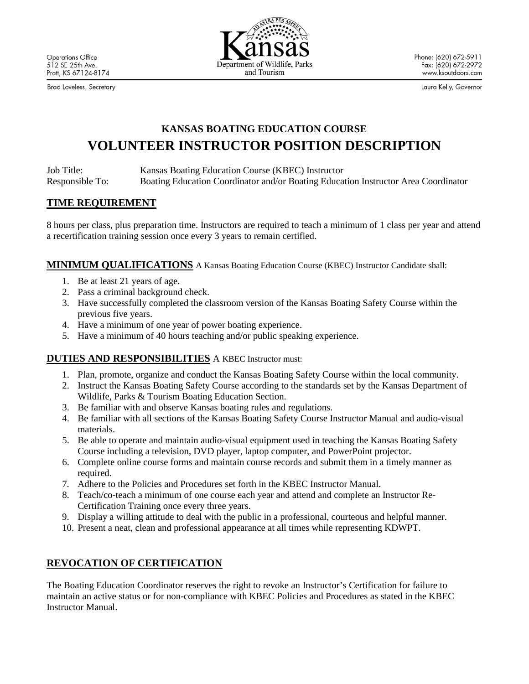Brad Loveless, Secretary



Phone: (620) 672-5911 Fax: (620) 672-2972 www.ksoutdoors.com

Laura Kelly, Governor

# **KANSAS BOATING EDUCATION COURSE VOLUNTEER INSTRUCTOR POSITION DESCRIPTION**

Job Title: Kansas Boating Education Course (KBEC) Instructor Responsible To: Boating Education Coordinator and/or Boating Education Instructor Area Coordinator

#### **TIME REQUIREMENT**

8 hours per class, plus preparation time. Instructors are required to teach a minimum of 1 class per year and attend a recertification training session once every 3 years to remain certified.

**MINIMUM QUALIFICATIONS** A Kansas Boating Education Course (KBEC) Instructor Candidate shall:

- 1. Be at least 21 years of age.
- 2. Pass a criminal background check.
- 3. Have successfully completed the classroom version of the Kansas Boating Safety Course within the previous five years.
- 4. Have a minimum of one year of power boating experience.
- 5. Have a minimum of 40 hours teaching and/or public speaking experience.

### **DUTIES AND RESPONSIBILITIES** A KBEC Instructor must:

- 1. Plan, promote, organize and conduct the Kansas Boating Safety Course within the local community.
- 2. Instruct the Kansas Boating Safety Course according to the standards set by the Kansas Department of Wildlife, Parks & Tourism Boating Education Section.
- 3. Be familiar with and observe Kansas boating rules and regulations.
- 4. Be familiar with all sections of the Kansas Boating Safety Course Instructor Manual and audio-visual materials.
- 5. Be able to operate and maintain audio-visual equipment used in teaching the Kansas Boating Safety Course including a television, DVD player, laptop computer, and PowerPoint projector.
- 6. Complete online course forms and maintain course records and submit them in a timely manner as required.
- 7. Adhere to the Policies and Procedures set forth in the KBEC Instructor Manual.
- 8. Teach/co-teach a minimum of one course each year and attend and complete an Instructor Re-Certification Training once every three years.
- 9. Display a willing attitude to deal with the public in a professional, courteous and helpful manner.
- 10. Present a neat, clean and professional appearance at all times while representing KDWPT.

### **REVOCATION OF CERTIFICATION**

The Boating Education Coordinator reserves the right to revoke an Instructor's Certification for failure to maintain an active status or for non-compliance with KBEC Policies and Procedures as stated in the KBEC Instructor Manual.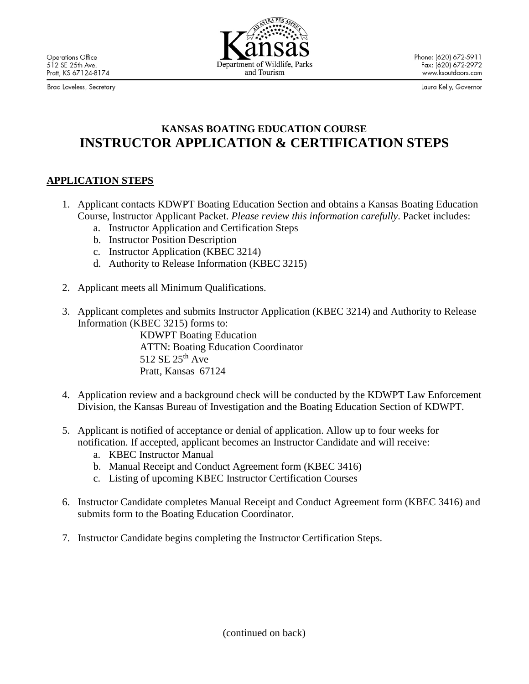Brad Loveless, Secretary



Phone: (620) 672-5911 Fax: (620) 672-2972 www.ksoutdoors.com

Laura Kelly, Governor

## **KANSAS BOATING EDUCATION COURSE INSTRUCTOR APPLICATION & CERTIFICATION STEPS**

## **APPLICATION STEPS**

- 1. Applicant contacts KDWPT Boating Education Section and obtains a Kansas Boating Education Course, Instructor Applicant Packet. *Please review this information carefully*. Packet includes:
	- a. Instructor Application and Certification Steps
	- b. Instructor Position Description
	- c. Instructor Application (KBEC 3214)
	- d. Authority to Release Information (KBEC 3215)
- 2. Applicant meets all Minimum Qualifications.
- 3. Applicant completes and submits Instructor Application (KBEC 3214) and Authority to Release Information (KBEC 3215) forms to:

KDWPT Boating Education ATTN: Boating Education Coordinator 512 SE 25<sup>th</sup> Ave Pratt, Kansas 67124

- 4. Application review and a background check will be conducted by the KDWPT Law Enforcement Division, the Kansas Bureau of Investigation and the Boating Education Section of KDWPT.
- 5. Applicant is notified of acceptance or denial of application. Allow up to four weeks for notification. If accepted, applicant becomes an Instructor Candidate and will receive:
	- a. KBEC Instructor Manual
	- b. Manual Receipt and Conduct Agreement form (KBEC 3416)
	- c. Listing of upcoming KBEC Instructor Certification Courses
- 6. Instructor Candidate completes Manual Receipt and Conduct Agreement form (KBEC 3416) and submits form to the Boating Education Coordinator.
- 7. Instructor Candidate begins completing the Instructor Certification Steps.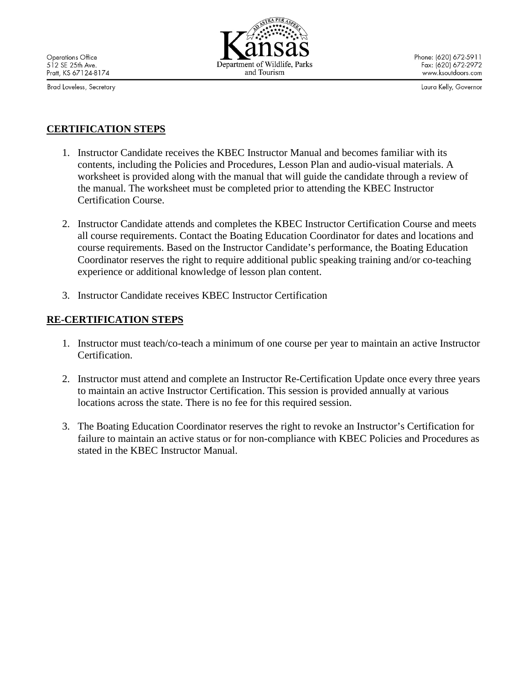Brad Loveless, Secretary



Phone: (620) 672-5911 Fax: (620) 672-2972 www.ksoutdoors.com

Laura Kelly, Governor

## **CERTIFICATION STEPS**

- 1. Instructor Candidate receives the KBEC Instructor Manual and becomes familiar with its contents, including the Policies and Procedures, Lesson Plan and audio-visual materials. A worksheet is provided along with the manual that will guide the candidate through a review of the manual. The worksheet must be completed prior to attending the KBEC Instructor Certification Course.
- 2. Instructor Candidate attends and completes the KBEC Instructor Certification Course and meets all course requirements. Contact the Boating Education Coordinator for dates and locations and course requirements. Based on the Instructor Candidate's performance, the Boating Education Coordinator reserves the right to require additional public speaking training and/or co-teaching experience or additional knowledge of lesson plan content.
- 3. Instructor Candidate receives KBEC Instructor Certification

### **RE-CERTIFICATION STEPS**

- 1. Instructor must teach/co-teach a minimum of one course per year to maintain an active Instructor Certification.
- 2. Instructor must attend and complete an Instructor Re-Certification Update once every three years to maintain an active Instructor Certification. This session is provided annually at various locations across the state. There is no fee for this required session.
- 3. The Boating Education Coordinator reserves the right to revoke an Instructor's Certification for failure to maintain an active status or for non-compliance with KBEC Policies and Procedures as stated in the KBEC Instructor Manual.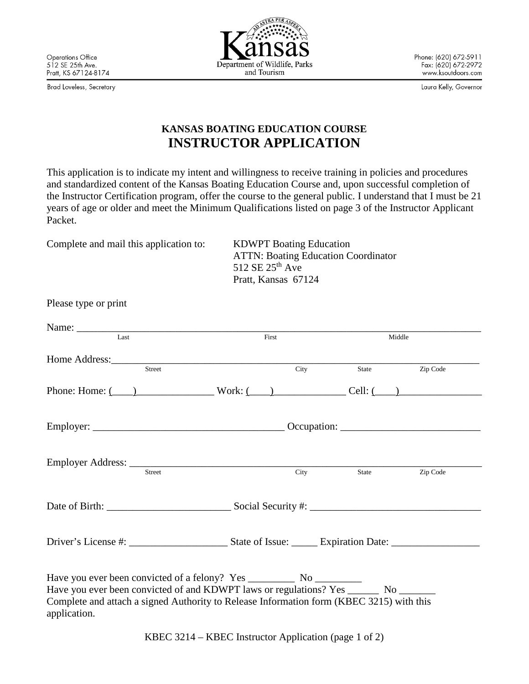Brad Loveless, Secretary

Please type or print



Phone: (620) 672-5911 Fax: (620) 672-2972 www.ksoutdoors.com

Laura Kelly, Governor

## **KANSAS BOATING EDUCATION COURSE INSTRUCTOR APPLICATION**

This application is to indicate my intent and willingness to receive training in policies and procedures and standardized content of the Kansas Boating Education Course and, upon successful completion of the Instructor Certification program, offer the course to the general public. I understand that I must be 21 years of age or older and meet the Minimum Qualifications listed on page 3 of the Instructor Applicant Packet.

Complete and mail this application to: KDWPT Boating Education

ATTN: Boating Education Coordinator 512 SE 25<sup>th</sup> Ave Pratt, Kansas 67124

| Last                                                                                                                                                                                               | First |       | Middle   |  |
|----------------------------------------------------------------------------------------------------------------------------------------------------------------------------------------------------|-------|-------|----------|--|
| Street                                                                                                                                                                                             | City  | State | Zip Code |  |
| Phone: Home: $\underline{\hspace{1cm}}$ 2 Work: $\underline{\hspace{1cm}}$ 2 Work: $\underline{\hspace{1cm}}$ 2 Cell: $\underline{\hspace{1cm}}$ 2                                                 |       |       |          |  |
|                                                                                                                                                                                                    |       |       |          |  |
| <b>Street</b>                                                                                                                                                                                      | City  | State | Zip Code |  |
|                                                                                                                                                                                                    |       |       |          |  |
|                                                                                                                                                                                                    |       |       |          |  |
| Have you ever been convicted of and KDWPT laws or regulations? Yes ________ No _______<br>Complete and attach a signed Authority to Release Information form (KBEC 3215) with this<br>application. |       |       |          |  |

KBEC 3214 – KBEC Instructor Application (page 1 of 2)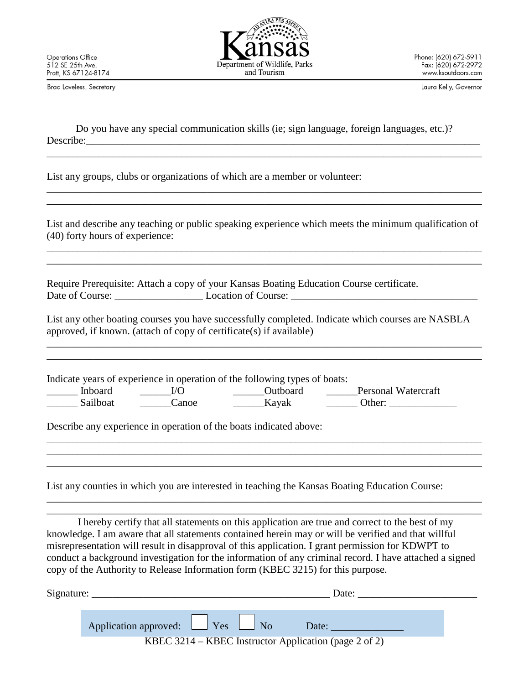and Tourism

Phone: (620) 672-5911 Fax: (620) 672-2972 www.ksoutdoors.com

Brad Loveless, Secretary

Laura Kelly, Governor

|           | Do you have any special communication skills (ie; sign language, foreign languages, etc.)? |  |
|-----------|--------------------------------------------------------------------------------------------|--|
| Describe: |                                                                                            |  |

List any groups, clubs or organizations of which are a member or volunteer:

List and describe any teaching or public speaking experience which meets the minimum qualification of (40) forty hours of experience:

\_\_\_\_\_\_\_\_\_\_\_\_\_\_\_\_\_\_\_\_\_\_\_\_\_\_\_\_\_\_\_\_\_\_\_\_\_\_\_\_\_\_\_\_\_\_\_\_\_\_\_\_\_\_\_\_\_\_\_\_\_\_\_\_\_\_\_\_\_\_\_\_\_\_\_\_\_\_\_\_\_\_\_\_ \_\_\_\_\_\_\_\_\_\_\_\_\_\_\_\_\_\_\_\_\_\_\_\_\_\_\_\_\_\_\_\_\_\_\_\_\_\_\_\_\_\_\_\_\_\_\_\_\_\_\_\_\_\_\_\_\_\_\_\_\_\_\_\_\_\_\_\_\_\_\_\_\_\_\_\_\_\_\_\_\_\_\_\_

\_\_\_\_\_\_\_\_\_\_\_\_\_\_\_\_\_\_\_\_\_\_\_\_\_\_\_\_\_\_\_\_\_\_\_\_\_\_\_\_\_\_\_\_\_\_\_\_\_\_\_\_\_\_\_\_\_\_\_\_\_\_\_\_\_\_\_\_\_\_\_\_\_\_\_\_\_\_\_\_\_\_\_\_

\_\_\_\_\_\_\_\_\_\_\_\_\_\_\_\_\_\_\_\_\_\_\_\_\_\_\_\_\_\_\_\_\_\_\_\_\_\_\_\_\_\_\_\_\_\_\_\_\_\_\_\_\_\_\_\_\_\_\_\_\_\_\_\_\_\_\_\_\_\_\_\_\_\_\_\_\_\_\_\_\_\_\_\_ \_\_\_\_\_\_\_\_\_\_\_\_\_\_\_\_\_\_\_\_\_\_\_\_\_\_\_\_\_\_\_\_\_\_\_\_\_\_\_\_\_\_\_\_\_\_\_\_\_\_\_\_\_\_\_\_\_\_\_\_\_\_\_\_\_\_\_\_\_\_\_\_\_\_\_\_\_\_\_\_\_\_\_\_

Require Prerequisite: Attach a copy of your Kansas Boating Education Course certificate. Date of Course: <br>
Location of Course:

List any other boating courses you have successfully completed. Indicate which courses are NASBLA approved, if known. (attach of copy of certificate(s) if available)

\_\_\_\_\_\_\_\_\_\_\_\_\_\_\_\_\_\_\_\_\_\_\_\_\_\_\_\_\_\_\_\_\_\_\_\_\_\_\_\_\_\_\_\_\_\_\_\_\_\_\_\_\_\_\_\_\_\_\_\_\_\_\_\_\_\_\_\_\_\_\_\_\_\_\_\_\_\_\_\_\_\_\_\_ \_\_\_\_\_\_\_\_\_\_\_\_\_\_\_\_\_\_\_\_\_\_\_\_\_\_\_\_\_\_\_\_\_\_\_\_\_\_\_\_\_\_\_\_\_\_\_\_\_\_\_\_\_\_\_\_\_\_\_\_\_\_\_\_\_\_\_\_\_\_\_\_\_\_\_\_\_\_\_\_\_\_\_\_

\_\_\_\_\_\_\_\_\_\_\_\_\_\_\_\_\_\_\_\_\_\_\_\_\_\_\_\_\_\_\_\_\_\_\_\_\_\_\_\_\_\_\_\_\_\_\_\_\_\_\_\_\_\_\_\_\_\_\_\_\_\_\_\_\_\_\_\_\_\_\_\_\_\_\_\_\_\_\_\_\_\_\_\_ \_\_\_\_\_\_\_\_\_\_\_\_\_\_\_\_\_\_\_\_\_\_\_\_\_\_\_\_\_\_\_\_\_\_\_\_\_\_\_\_\_\_\_\_\_\_\_\_\_\_\_\_\_\_\_\_\_\_\_\_\_\_\_\_\_\_\_\_\_\_\_\_\_\_\_\_\_\_\_\_\_\_\_\_ \_\_\_\_\_\_\_\_\_\_\_\_\_\_\_\_\_\_\_\_\_\_\_\_\_\_\_\_\_\_\_\_\_\_\_\_\_\_\_\_\_\_\_\_\_\_\_\_\_\_\_\_\_\_\_\_\_\_\_\_\_\_\_\_\_\_\_\_\_\_\_\_\_\_\_\_\_\_\_\_\_\_\_\_

Indicate years of experience in operation of the following types of boats: \_\_\_\_\_\_ Inboard \_\_\_\_\_\_I/O \_\_\_\_\_\_Outboard \_\_\_\_\_\_Personal Watercraft  $\text{Sailboat}$   $\text{Canoe}$   $\text{Kayak}$  Other:

Describe any experience in operation of the boats indicated above:

List any counties in which you are interested in teaching the Kansas Boating Education Course:

I hereby certify that all statements on this application are true and correct to the best of my knowledge. I am aware that all statements contained herein may or will be verified and that willful misrepresentation will result in disapproval of this application. I grant permission for KDWPT to conduct a background investigation for the information of any criminal record. I have attached a signed copy of the Authority to Release Information form (KBEC 3215) for this purpose.

\_\_\_\_\_\_\_\_\_\_\_\_\_\_\_\_\_\_\_\_\_\_\_\_\_\_\_\_\_\_\_\_\_\_\_\_\_\_\_\_\_\_\_\_\_\_\_\_\_\_\_\_\_\_\_\_\_\_\_\_\_\_\_\_\_\_\_\_\_\_\_\_\_\_\_\_\_\_\_\_\_\_\_\_ \_\_\_\_\_\_\_\_\_\_\_\_\_\_\_\_\_\_\_\_\_\_\_\_\_\_\_\_\_\_\_\_\_\_\_\_\_\_\_\_\_\_\_\_\_\_\_\_\_\_\_\_\_\_\_\_\_\_\_\_\_\_\_\_\_\_\_\_\_\_\_\_\_\_\_\_\_\_\_\_\_\_\_\_

| Signature: | Date:                                                 |
|------------|-------------------------------------------------------|
|            |                                                       |
|            | Application approved: $\Box$ Yes $\Box$ No<br>Date:   |
|            | KBEC 3214 – KBEC Instructor Application (page 2 of 2) |